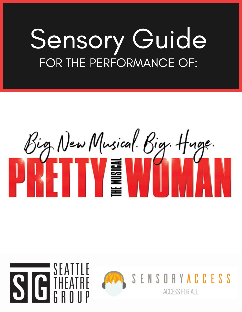# Sensory Guide FOR THE PERFORMANCE OF:



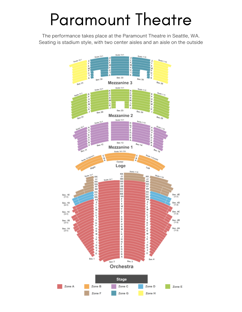### Paramount Theatre

The performance takes place at the Paramount Theatre in Seattle, WA. Seating is stadium style, with two center aisles and an aisle on the outside

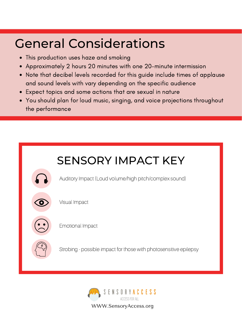### General Considerations

- This production uses haze and smoking
- Approximately 2 hours 20 minutes with one 20-minute intermission
- Note that decibel levels recorded for this guide include times of applause and sound levels with vary depending on the specific audience
- Expect topics and some actions that are sexual in nature
- You should plan for loud music, singing, and voice projections throughout the performance

| <b>SENSORY IMPACT KEY</b> |                                                                   |  |  |
|---------------------------|-------------------------------------------------------------------|--|--|
|                           | Auditory Impact (Loud volume/high pitch/complex sound)            |  |  |
|                           | Visual Impact                                                     |  |  |
|                           | <b>Emotional Impact</b>                                           |  |  |
|                           | Strobing - possible impact for those with photosensitive epilepsy |  |  |
|                           |                                                                   |  |  |



WWW.SensoryAccess.org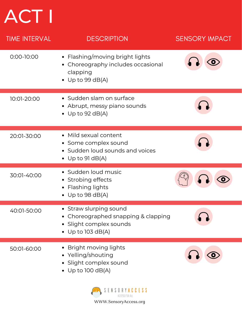# ACT I

| <b>TIME INTERVAL</b> | <b>DESCRIPTION</b>                                                                                            | <b>SENSORY IMPACT</b> |
|----------------------|---------------------------------------------------------------------------------------------------------------|-----------------------|
| $0:00 - 10:00$       | • Flashing/moving bright lights<br>• Choreography includes occasional<br>clapping<br>• Up to 99 dB(A)         |                       |
| 10:01-20:00          | • Sudden slam on surface<br>• Abrupt, messy piano sounds<br>• Up to 92 $dB(A)$                                |                       |
| 20:01-30:00          | • Mild sexual content<br>• Some complex sound<br>• Sudden loud sounds and voices<br>• Up to 91 $dB(A)$        |                       |
| 30:01-40:00          | • Sudden loud music<br>Strobing effects<br>$\bullet$<br><b>Flashing lights</b><br>$\bullet$ Up to 98 dB(A)    |                       |
| 40:01-50:00          | • Straw slurping sound<br>• Choreographed snapping & clapping<br>· Slight complex sounds<br>• Up to 103 dB(A) |                       |
| 50:01-60:00          | Bright moving lights<br>• Yelling/shouting<br>• Slight complex sound<br>• Up to 100 dB(A)                     |                       |

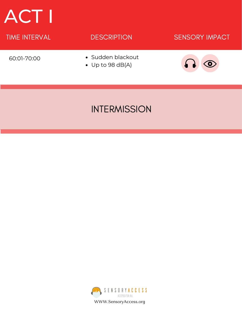### ACT I

#### TIME INTERVAL **SENSORY IMPACT** 60:01-70:00 **DESCRIPTION** • Sudden blackout Up to 98 dB(A)

### INTERMISSION

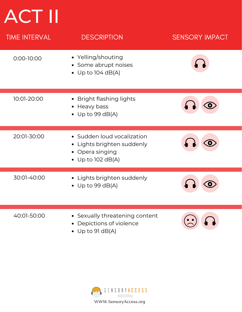## ACT II

| <b>TIME INTERVAL</b> | <b>DESCRIPTION</b>                                                                                 | <b>SENSORY IMPACT</b> |
|----------------------|----------------------------------------------------------------------------------------------------|-----------------------|
| $0:00 - 10:00$       | • Yelling/shouting<br>• Some abrupt noises<br>• Up to $104$ dB(A)                                  |                       |
| 10:01-20:00          | Bright flashing lights<br>$\bullet$<br>Heavy bass<br>$\bullet$ Up to 99 dB(A)                      |                       |
| 20:01-30:00          | • Sudden loud vocalization<br>• Lights brighten suddenly<br>• Opera singing<br>• Up to $102$ dB(A) |                       |
| 30:01-40:00          | • Lights brighten suddenly<br>Up to 99 $dB(A)$                                                     |                       |
| 40:01-50:00          | Sexually threatening content<br>$\bullet$<br>Depictions of violence<br>$\bullet$                   |                       |

Up to 91 dB(A)